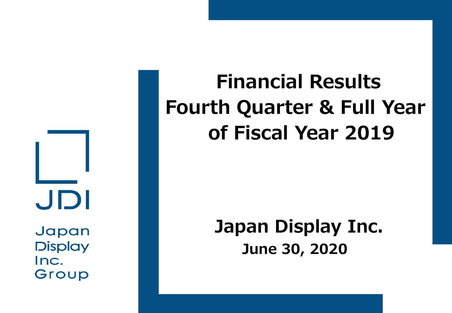JDI Japan

**Display** Inc. Group

# **Financial Results Fourth Quarter & Full Year of Fiscal Year 2019**

# **Japan Display Inc. June 30, 2020**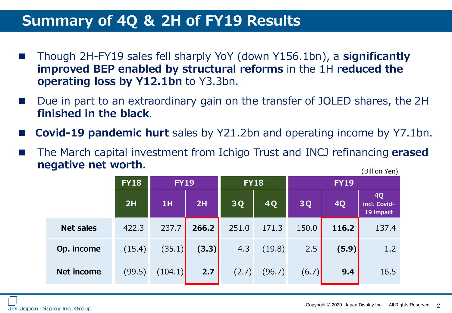### **Summary of 4Q & 2H of FY19 Results**

- Though 2H-FY19 sales fell sharply YoY (down Y156.1bn), a **significantly improved BEP enabled by structural reforms** in the 1H **reduced the operating loss by Y12.1bn** to Y3.3bn.
- Due in part to an extraordinary gain on the transfer of JOLED shares, the 2H **finished in the black**.
- **Covid-19 pandemic hurt** sales by Y21.2bn and operating income by Y7.1bn.
- (Billion Yen) The March capital investment from Ichigo Trust and INCJ refinancing **erased negative net worth.**

|                   | <b>FY18</b> | <b>FY19</b> |       | <b>FY18</b> |        | <b>FY19</b> |           |                                        |
|-------------------|-------------|-------------|-------|-------------|--------|-------------|-----------|----------------------------------------|
|                   | 2H          | 1H          | 2H    | 3Q          | 4Q     | 3Q          | <b>4Q</b> | <b>4Q</b><br>incl. Covid-<br>19 impact |
| <b>Net sales</b>  | 422.3       | 237.7       | 266.2 | 251.0       | 171.3  | 150.0       | 116.2     | 137.4                                  |
| Op. income        | (15.4)      | (35.1)      | (3.3) | 4.3         | (19.8) | 2.5         | (5.9)     | 1.2                                    |
| <b>Net income</b> | (99.5)      | (104.1)     | 2.7   | (2.7)       | (96.7) | (6.7)       | 9.4       | 16.5                                   |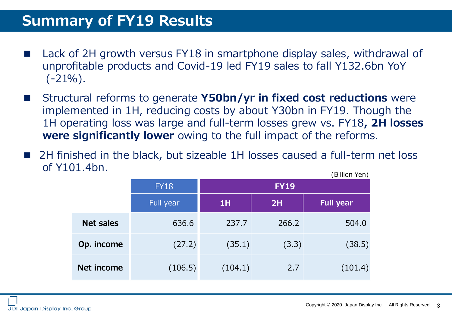#### **Summary of FY19 Results**

- Lack of 2H growth versus FY18 in smartphone display sales, withdrawal of unprofitable products and Covid-19 led FY19 sales to fall Y132.6bn YoY  $(-21\%)$ .
- Structural reforms to generate **Y50bn/yr in fixed cost reductions** were implemented in 1H, reducing costs by about Y30bn in FY19. Though the 1H operating loss was large and full-term losses grew vs. FY18**, 2H losses were significantly lower** owing to the full impact of the reforms.
- 2H finished in the black, but sizeable 1H losses caused a full-term net loss of Y101.4bn. (Billion Yen)

|                   |             |             |       | \ <del>_</del> <del>_</del> _ _ <i>.</i> |  |  |  |
|-------------------|-------------|-------------|-------|------------------------------------------|--|--|--|
|                   | <b>FY18</b> | <b>FY19</b> |       |                                          |  |  |  |
|                   | Full year   | 1H          | 2H    | <b>Full year</b>                         |  |  |  |
| <b>Net sales</b>  | 636.6       | 237.7       | 266.2 | 504.0                                    |  |  |  |
| Op. income        | (27.2)      | (35.1)      | (3.3) | (38.5)                                   |  |  |  |
| <b>Net income</b> | (106.5)     | (104.1)     | 2.7   | (101.4)                                  |  |  |  |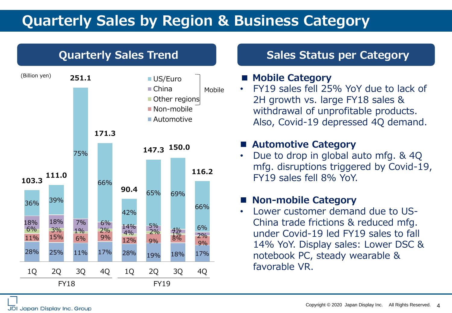### **Quarterly Sales by Region & Business Category**



#### **Quarterly Sales Trend Constructed Status per Category**

#### **■ Mobile Category**

• FY19 sales fell 25% YoY due to lack of 2H growth vs. large FY18 sales & withdrawal of unprofitable products. Also, Covid-19 depressed 4Q demand.

#### ■ Automotive Category

• Due to drop in global auto mfg. & 4Q mfg. disruptions triggered by Covid-19, FY19 sales fell 8% YoY.

#### ◼ **Non-mobile Category**

• Lower customer demand due to US-China trade frictions & reduced mfg. under Covid-19 led FY19 sales to fall 14% YoY. Display sales: Lower DSC & notebook PC, steady wearable & favorable VR.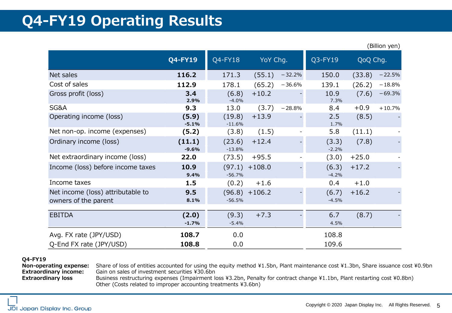### **Q4-FY19 Operating Results**

|                                                           |                   |                    |                  |          |                  |          | , , , , , , , , , , , , |
|-----------------------------------------------------------|-------------------|--------------------|------------------|----------|------------------|----------|-------------------------|
|                                                           | $Q4$ -FY19        | Q4-FY18            | YoY Chg.         |          | Q3-FY19          | QoQ Chg. |                         |
| Net sales                                                 | 116.2             | 171.3              | (55.1)           | $-32.2%$ | 150.0            | (33.8)   | $-22.5%$                |
| Cost of sales                                             | 112.9             | 178.1              | (65.2)           | $-36.6%$ | 139.1            | (26.2)   | $-18.8%$                |
| Gross profit (loss)                                       | 3.4<br>2.9%       | (6.8)<br>$-4.0%$   | $+10.2$          |          | 10.9<br>7.3%     | (7.6)    | $-69.3%$                |
| SG&A                                                      | 9.3               | 13.0               | (3.7)            | $-28.8%$ | 8.4              | $+0.9$   | $+10.7%$                |
| Operating income (loss)                                   | (5.9)<br>$-5.1%$  | (19.8)<br>$-11.6%$ | $+13.9$          |          | 2.5<br>1.7%      | (8.5)    |                         |
| Net non-op. income (expenses)                             | (5.2)             | (3.8)              | (1.5)            |          | 5.8              | (11.1)   |                         |
| Ordinary income (loss)                                    | (11.1)<br>$-9.6%$ | (23.6)<br>$-13.8%$ | $+12.4$          |          | (3.3)<br>$-2.2%$ | (7.8)    |                         |
| Net extraordinary income (loss)                           | 22.0              | (73.5)             | $+95.5$          |          | (3.0)            | $+25.0$  |                         |
| Income (loss) before income taxes                         | 10.9<br>9.4%      | $-56.7%$           | $(97.1) + 108.0$ |          | (6.3)<br>$-4.2%$ | $+17.2$  |                         |
| Income taxes                                              | 1.5               | (0.2)              | $+1.6$           |          | 0.4              | $+1.0$   |                         |
| Net income (loss) attributable to<br>owners of the parent | 9.5<br>8.1%       | $-56.5%$           | $(96.8) + 106.2$ |          | (6.7)<br>$-4.5%$ | $+16.2$  |                         |
| <b>EBITDA</b>                                             | (2.0)<br>$-1.7%$  | (9.3)<br>$-5.4%$   | $+7.3$           |          | 6.7<br>4.5%      | (8.7)    |                         |
| Avg. FX rate (JPY/USD)<br>Q-End FX rate (JPY/USD)         | 108.7<br>108.8    | 0.0<br>0.0         |                  |          | 108.8<br>109.6   |          |                         |

#### **Q4-FY19**

**Non-operating expense:** Share of loss of entities accounted for using the equity method ¥1.5bn, Plant maintenance cost ¥1.3bn, Share issuance cost ¥0.9bn **Extraordinary income:** Gain on sales of investment securities ¥30.6bn

Extraordinary loss **Business restructuring expenses (Impairment loss ¥3.2bn, Penalty for contract change ¥1.1bn, Plant restarting cost ¥0.8bn)** Other (Costs related to improper accounting treatments ¥3.6bn)

(Billion yen)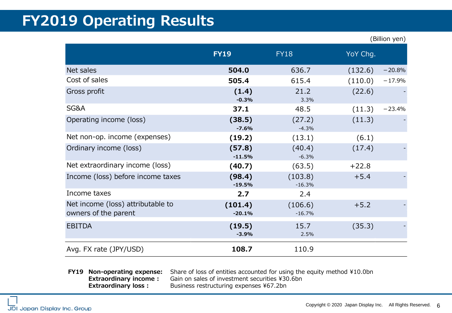### **FY2019 Operating Results**

|                                   |             |             | (Billion yen)       |
|-----------------------------------|-------------|-------------|---------------------|
|                                   | <b>FY19</b> | <b>FY18</b> | YoY Chg.            |
| Net sales                         | 504.0       | 636.7       | (132.6)<br>$-20.8%$ |
| Cost of sales                     | 505.4       | 615.4       | (110.0)<br>$-17.9%$ |
| Gross profit                      | (1.4)       | 21.2        | (22.6)              |
|                                   | $-0.3%$     | 3.3%        |                     |
| SG&A                              | 37.1        | 48.5        | (11.3)<br>$-23.4%$  |
| Operating income (loss)           | (38.5)      | (27.2)      | (11.3)              |
|                                   | $-7.6%$     | $-4.3%$     |                     |
| Net non-op. income (expenses)     | (19.2)      | (13.1)      | (6.1)               |
| Ordinary income (loss)            | (57.8)      | (40.4)      | (17.4)              |
|                                   | $-11.5%$    | $-6.3%$     |                     |
| Net extraordinary income (loss)   | (40.7)      | (63.5)      | $+22.8$             |
| Income (loss) before income taxes | (98.4)      | (103.8)     | $+5.4$              |
|                                   | $-19.5%$    | $-16.3%$    |                     |
| Income taxes                      | 2.7         | 2.4         |                     |
| Net income (loss) attributable to | (101.4)     | (106.6)     | $+5.2$              |
| owners of the parent              | $-20.1%$    | $-16.7%$    |                     |
| <b>EBITDA</b>                     | (19.5)      | 15.7        | (35.3)              |
|                                   | $-3.9%$     | 2.5%        |                     |
| Avg. FX rate (JPY/USD)            | 108.7       | 110.9       |                     |

**FY19 Non-operating expense:** Share of loss of entities accounted for using the equity method ¥10.0bn **Extraordinary income :** Gain on sales of investment securities ¥30.6bn **Extraordinary loss :** Business restructuring expenses ¥67.2bn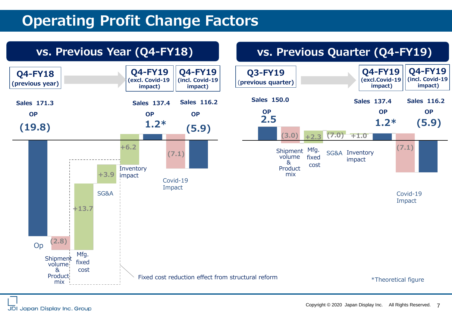### **Operating Profit Change Factors**

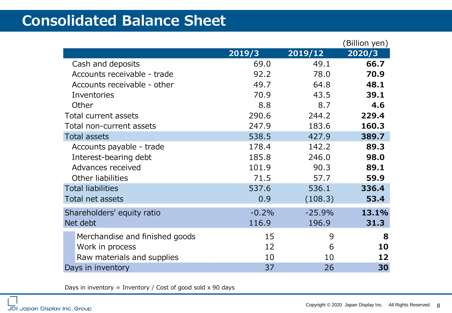### **Consolidated Balance Sheet**

|                                |         |          | (Billion yen) |
|--------------------------------|---------|----------|---------------|
|                                | 2019/3  | 2019/12  | 2020/3        |
| Cash and deposits              | 69.0    | 49.1     | 66.7          |
| Accounts receivable - trade    | 92.2    | 78.0     | 70.9          |
| Accounts receivable - other    | 49.7    | 64.8     | 48.1          |
| Inventories                    | 70.9    | 43.5     | 39.1          |
| Other                          | 8.8     | 8.7      | 4.6           |
| Total current assets           | 290.6   | 244.2    | 229.4         |
| Total non-current assets       | 247.9   | 183.6    | 160.3         |
| <b>Total assets</b>            | 538.5   | 427.9    | 389.7         |
| Accounts payable - trade       | 178.4   | 142.2    | 89.3          |
| Interest-bearing debt          | 185.8   | 246.0    | 98.0          |
| Advances received              | 101.9   | 90.3     | 89.1          |
| Other liabilities              | 71.5    | 57.7     | 59.9          |
| <b>Total liabilities</b>       | 537.6   | 536.1    | 336.4         |
| Total net assets               | 0.9     | (108.3)  | 53.4          |
| Shareholders' equity ratio     | $-0.2%$ | $-25.9%$ | 13.1%         |
| Net debt                       | 116.9   | 196.9    | 31.3          |
| Merchandise and finished goods | 15      | 9        | 8             |
| Work in process                | 12      | 6        | 10            |
| Raw materials and supplies     | 10      | 10       | 12            |
| Days in inventory              | 37      | 26       | 30            |

Days in inventory = Inventory / Cost of good sold  $x$  90 days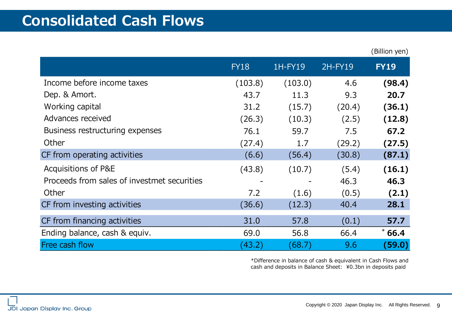### **Consolidated Cash Flows**

|                                             |             |         |         | (Billion yen) |
|---------------------------------------------|-------------|---------|---------|---------------|
|                                             | <b>FY18</b> | 1H-FY19 | 2H-FY19 | <b>FY19</b>   |
| Income before income taxes                  | (103.8)     | (103.0) | 4.6     | (98.4)        |
| Dep. & Amort.                               | 43.7        | 11.3    | 9.3     | 20.7          |
| Working capital                             | 31.2        | (15.7)  | (20.4)  | (36.1)        |
| Advances received                           | (26.3)      | (10.3)  | (2.5)   | (12.8)        |
| Business restructuring expenses             | 76.1        | 59.7    | 7.5     | 67.2          |
| Other                                       | (27.4)      | 1.7     | (29.2)  | (27.5)        |
| CF from operating activities                | (6.6)       | (56.4)  | (30.8)  | (87.1)        |
| Acquisitions of P&E                         | (43.8)      | (10.7)  | (5.4)   | (16.1)        |
| Proceeds from sales of investmet securities |             |         | 46.3    | 46.3          |
| Other                                       | 7.2         | (1.6)   | (0.5)   | (2.1)         |
| CF from investing activities                | (36.6)      | (12.3)  | 40.4    | 28.1          |
| CF from financing activities                | 31.0        | 57.8    | (0.1)   | 57.7          |
| Ending balance, cash & equiv.               | 69.0        | 56.8    | 66.4    | $*66.4$       |
| Free cash flow                              | (43.2)      | (68.7)  | 9.6     | (59.0)        |

\*Difference in balance of cash & equivalent in Cash Flows and cash and deposits in Balance Sheet: ¥0.3bn in deposits paid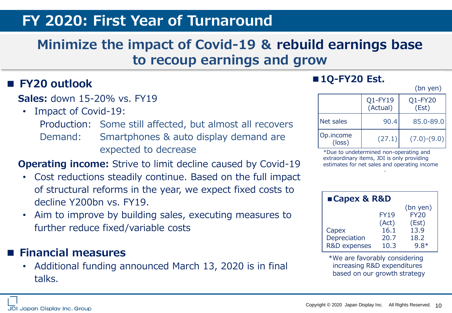#### **FY 2020: First Year of Turnaround**

#### **Minimize the impact of Covid-19 & rebuild earnings base to recoup earnings and grow**

#### **■ FY20 outlook**

#### **Sales:** down 15-20% vs. FY19

- Impact of Covid-19:
	- Production: Some still affected, but almost all recovers
	- Demand: Smartphones & auto display demand are expected to decrease

#### **Operating income:** Strive to limit decline caused by Covid-19

- Cost reductions steadily continue. Based on the full impact of structural reforms in the year, we expect fixed costs to decline Y200bn vs. FY19.
- Aim to improve by building sales, executing measures to further reduce fixed/variable costs

#### **■ Financial measures**

• Additional funding announced March 13, 2020 is in final talks.

#### ■**1Q-FY20 Est.**

(bn yen)

|                              | Q1-FY19<br>(Actual) | Q1-FY20<br>(Est) |
|------------------------------|---------------------|------------------|
| Net sales                    | 90.4                | 85.0-89.0        |
| Op.income<br>$(\text{loss})$ | (27.1)              | $(7.0)-(9.0)$    |

\*Due to undetermined non-operating and extraordinary items, JDI is only providing estimates for net sales and operating income

| ■Capex & R&D            |             |             |  |  |  |
|-------------------------|-------------|-------------|--|--|--|
|                         |             | $(bn$ yen)  |  |  |  |
|                         | <b>FY19</b> | <b>FY20</b> |  |  |  |
|                         | (Act)       | (Est)       |  |  |  |
| Capex                   | 16.1        | 13.9        |  |  |  |
| Depreciation            | 20.7        | 18.2        |  |  |  |
| <b>R&amp;D</b> expenses | 10.3        | $9.8*$      |  |  |  |

\*We are favorably considering increasing R&D expenditures based on our growth strategy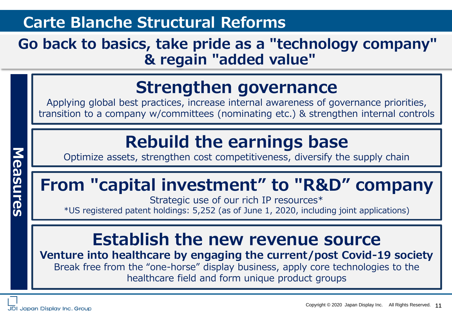### **Carte Blanche Structural Reforms**

### **Go back to basics, take pride as a "technology company" & regain "added value"**

### **Strengthen governance**

Applying global best practices, increase internal awareness of governance priorities, transition to a company w/committees (nominating etc.) & strengthen internal controls

## **Rebuild the earnings base**

Optimize assets, strengthen cost competitiveness, diversify the supply chain

# **From "capital investment" to "R&D" company**

Strategic use of our rich IP resources\* \*US registered patent holdings: 5,252 (as of June 1, 2020, including joint applications)

### **Establish the new revenue source**

**Venture into healthcare by engaging the current/post Covid-19 society** Break free from the "one-horse" display business, apply core technologies to the healthcare field and form unique product groups

**Measures**Measures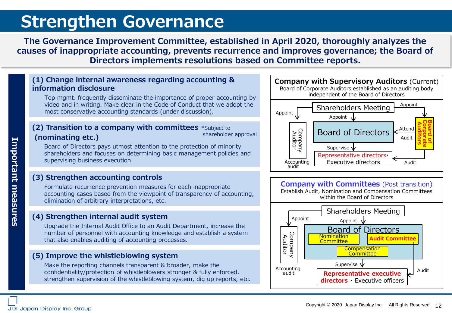### **Strengthen Governance**

**The Governance Improvement Committee, established in April 2020, thoroughly analyzes the causes of inappropriate accounting, prevents recurrence and improves governance; the Board of Directors implements resolutions based on Committee reports.**

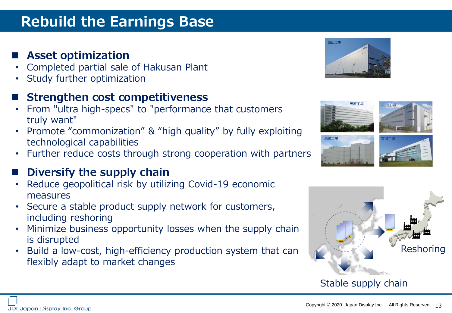### **Rebuild the Earnings Base**

#### **Asset optimization**

- Completed partial sale of Hakusan Plant
- Study further optimization

#### **Strengthen cost competitiveness**

- From "ultra high-specs" to "performance that customers truly want"
- Promote "commonization" & "high quality" by fully exploiting technological capabilities
- Further reduce costs through strong cooperation with partners

#### **Diversify the supply chain**

- Reduce geopolitical risk by utilizing Covid-19 economic measures
- Secure a stable product supply network for customers, including reshoring
- Minimize business opportunity losses when the supply chain is disrupted
- Build a low-cost, high-efficiency production system that can flexibly adapt to market changes







#### Stable supply chain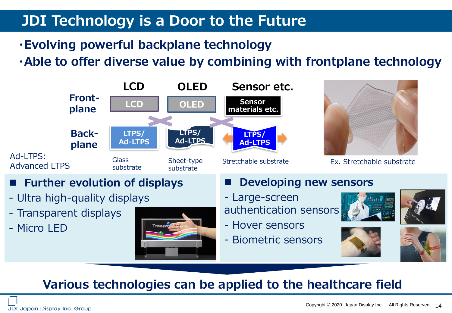### **JDI Technology is a Door to the Future**

**・Evolving powerful backplane technology**

**・Able to offer diverse value by combining with frontplane technology**





- ◼ **Further evolution of displays**
- Ultra high-quality displays
- Transparent displays
- Micro LED



#### **Developing new sensors**

- Large-screen authentication sensors
- Hover sensors
- Biometric sensors









#### **Various technologies can be applied to the healthcare field**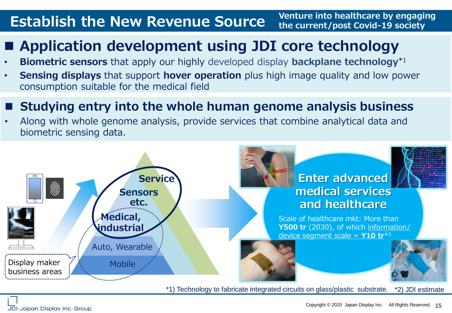#### **Establish the New Revenue Source Venture into healthcare by engaging the current/post Covid-19 society**

### ■ Application development using JDI core technology

- **Biometric sensors** that apply our highly developed display **backplane technology\***<sup>1</sup>
- **Sensing displays** that support **hover operation** plus high image quality and low power consumption suitable for the medical field

#### ◼ **Studying entry into the whole human genome analysis business**

• Along with whole genome analysis, provide services that combine analytical data and biometric sensing data.



\*1) Technology to fabricate integrated circuits on glass/plastic substrate. \*2) JDI estimate